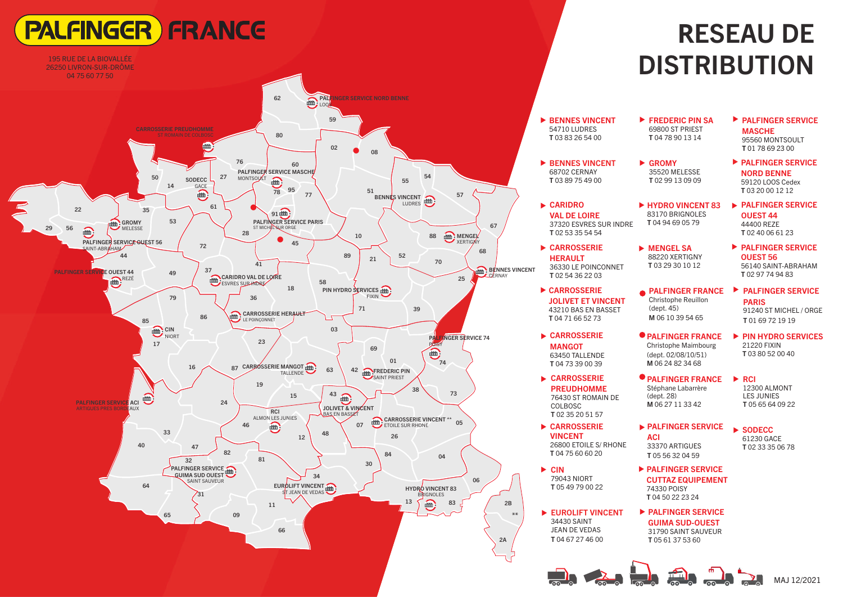# **PALFINGER FRANCE**



## **R**ESEAU DE **DISTRIBUTION**

| <b>EXAMPLE DESCRIPTION</b><br>54710 LUDRES<br>T0383265400                                          | $\blacktriangleright$ FREDERIC PIN SA<br>69800 ST PRIEST<br>T0478901314                         | <b>PALFINGER SERVICE</b><br><b>MASCHE</b><br>95560 MONTSOULT<br>T 01 78 69 23 00       |
|----------------------------------------------------------------------------------------------------|-------------------------------------------------------------------------------------------------|----------------------------------------------------------------------------------------|
| <b>BENNES VINCENT</b><br>68702 CERNAY<br>T 03 89 75 49 00                                          | GROMY<br>35520 MELESSE<br>T 02 99 13 09 09                                                      | <b>PALFINGER SERVICE</b><br><b>NORD BENNE</b><br>59120 LOOS Cedex<br>T03 20 00 12 12   |
| $\blacktriangleright$ CARIDRO<br><b>VAL DE LOIRE</b><br>37320 ESVRES SUR INDRE<br>T 02 53 35 54 54 | ► HYDRO VINCENT 83<br>83170 BRIGNOLES<br>T0494690579                                            | ▶ PALFINGER SERVICE<br><b>OUEST 44</b><br>44400 REZE<br>T0240066123                    |
| ► CARROSSERIE<br><b>HERAULT</b><br>36330 LE POINCONNET<br>T 02 54 36 22 03                         | <b>MENGEL SA</b><br>88220 XERTIGNY<br>T03 29 30 10 12                                           | ▶ PALFINGER SERVICE<br><b>OUEST 56</b><br>56140 SAINT-ABRAHAM<br>T0297749483           |
| CARROSSERIE<br><b>JOLIVET ET VINCENT</b><br>43210 BAS EN BASSET<br>T0471665273                     | <b>PALFINGER FRANCE</b><br>Christophe Reuillon<br>(dept. 45)<br>M 06 10 39 54 65                | <b>PALFINGER SERVICE</b><br><b>PARIS</b><br>91240 ST MICHEL / ORGE<br>T 01 69 72 19 19 |
| CARROSSERIE<br><b>MANGOT</b><br>63450 TALLENDE<br>T 04 73 39 00 39                                 | $\bullet$ PALFINGER FRANCE<br>Christophe Maimbourg<br>(dept. 02/08/10/51)<br>M 06 24 82 34 68   | ▶ PIN HYDRO SERVICES<br><b>21220 FIXIN</b><br>T0380520040                              |
| CARROSSERIE<br><b>PREUDHOMME</b><br>76430 ST ROMAIN DE<br>COLBOSC<br>T 02 35 20 51 57              | <b>PALFINGER FRANCE</b><br>Stéphane Labarrère<br>(dept. 28)<br>M 06 27 11 33 42                 | $\blacktriangleright$ RCI<br>12300 ALMONT<br><b>LES JUNIES</b><br>T 05 65 64 09 22     |
| CARROSSERIE<br><b>VINCENT</b><br>26800 ETOILE S/ RHONE<br>T0475606020                              | <b>EXPALFINGER SERVICE</b><br>ACI<br>33370 ARTIGUES<br>T 05 56 32 04 59                         | $\blacktriangleright$ SODECC<br>61230 GACE<br>T0233350678                              |
| $\triangleright$ CIN<br>79043 NIORT<br>T 05 49 79 00 22                                            | ▶ PALFINGER SERVICE<br><b>CUTTAZ EQUIPEMENT</b><br>74330 POISY<br>T 04 50 22 23 24              |                                                                                        |
| EUROLIFT VINCENT<br>34430 SAINT<br><b>JEAN DE VEDAS</b><br>T0467274600                             | <b>EXPALFINGER SERVICE</b><br><b>GUIMA SUD-OUEST</b><br>31790 SAINT SAUVEUR<br>T 05 61 37 53 60 |                                                                                        |
|                                                                                                    |                                                                                                 | MAJ 12/2021                                                                            |

▶

▶

▶

▶

▶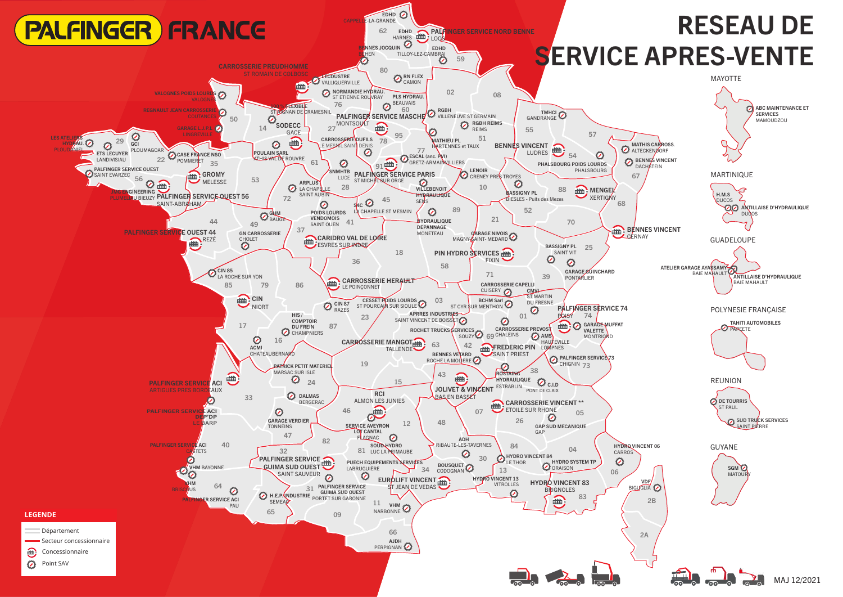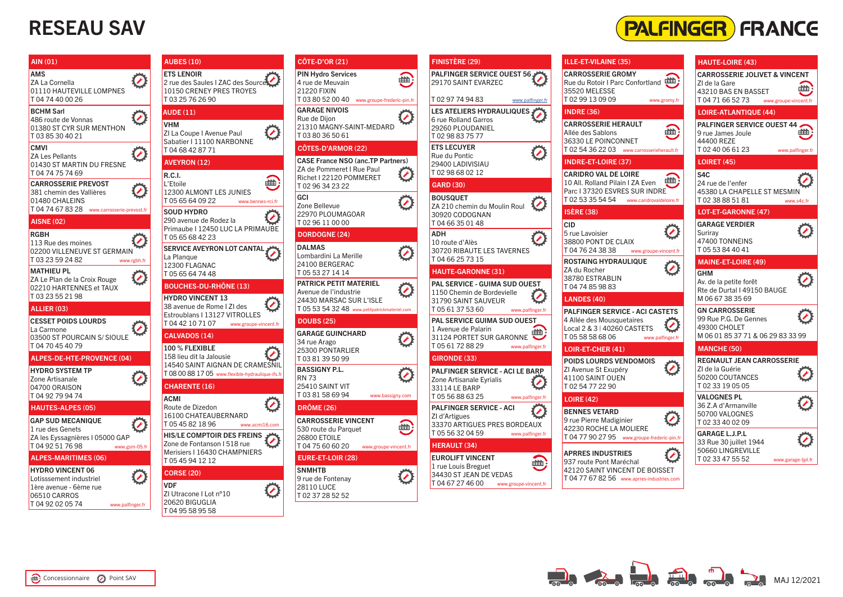### RESEAU SAV



| AIN (01)                                                                      | <b>AUBES (10)</b>                                                                                 |  |
|-------------------------------------------------------------------------------|---------------------------------------------------------------------------------------------------|--|
| AMS<br>$\bullet$<br>ZA La Cornella<br>01110 HAUTEVILLE LOMPNES<br>T0474400026 | <b>ETS LENOIR</b><br>2 rue des Saules I ZAC des Source<br>10150 CRENEY PRES TROYES<br>T0325762690 |  |
| <b>BCHM Sarl</b><br>$\bullet$                                                 | <b>AUDE (11)</b>                                                                                  |  |
| 486 route de Vonnas<br>01380 ST CYR SUR MENTHON<br>T0385304021                | <b>VHM</b><br>ZI La Coupe I Avenue Paul<br>Sabatier I 11100 NARBONNE                              |  |
| <b>CMVI</b><br>$\bullet$<br>ZA Les Pellants                                   | T0468428771                                                                                       |  |
| 01430 ST MARTIN DU FRESNE<br>T 04 74 75 74 69                                 | <b>AVEYRON (12)</b><br><b>R.C.I.</b>                                                              |  |
| <b>CARROSSERIE PREVOST</b><br>381 chemin des Vallières<br>01480 CHALEINS      | L'Etoile<br>12300 ALMONT LES JUNIES<br>T0565640922<br>www.bennes-rci.fr                           |  |
| T04 74 67 83 28 www.carrosserie-prevost.fr<br><b>AISNE (02)</b>               | <b>SOUD HYDRO</b><br>290 avenue de Rodez la                                                       |  |
| RGBH                                                                          | Primaube I 12450 LUC LA PRIMAUBE                                                                  |  |
| 113 Rue des moines<br>02200 VILLENEUVE ST GERMAIN                             | T0565684223<br>SERVICE AVEYRON LOT CANTAL<br>La Plangue                                           |  |
| T 03 23 59 24 82<br>www.rgbh.fr<br><b>MATHIEU PL</b>                          | 12300 FLAGNAC                                                                                     |  |
| ZA Le Plan de la Croix Rouge                                                  | T0565647448                                                                                       |  |
| 02210 HARTENNES et TAUX<br>T 03 23 55 21 98                                   | <b>BOUCHES-DU-RHÔNE (13)</b><br><b>HYDRO VINCENT 13</b>                                           |  |
| ALLIER (03)                                                                   | 38 avenue de Rome I ZI des<br>Estroublans I 13127 VITROLLES                                       |  |
| <b>CESSET POIDS LOURDS</b>                                                    | T 04 42 10 71 07 www.groupe-vincent.fr                                                            |  |
| La Carmone<br>03500 ST POURCAIN S/ SIOULE                                     | <b>CALVADOS (14)</b>                                                                              |  |
| T0470454079                                                                   | 100 % FLEXIBLE                                                                                    |  |
| ALPES-DE-HTE-PROVENCE (04)                                                    | 158 lieu dit la Jalousie<br>14540 SAINT AIGNAN DE CRAMESNIL                                       |  |
| <b>HYDRO SYSTEM TP</b><br>Zone Artisanale                                     | T 08 00 88 17 05 www.flexible-hydraulique-ifs.fr                                                  |  |
| 04700 ORAISON                                                                 | <b>CHARENTE (16)</b>                                                                              |  |
| T 04 92 79 94 74                                                              | ACMI                                                                                              |  |
| <b>HAUTES-ALPES (05)</b>                                                      | Route de Dizedon<br>16100 CHATEAUBERNARD                                                          |  |
| <b>GAP SUD MECANIQUE</b><br>1 rue des Genets                                  | T 05 45 82 18 96<br>www.acmi16.com                                                                |  |
| ZA les Eyssagnières I 05000 GAP                                               | <b>HIS/LE COMPTOIR DES FREINS</b><br>Zone de Fontanson I 518 rue                                  |  |
| T0492517698<br>www.gsm-05.fr<br><b>ALPES-MARITIMES (06)</b>                   | Merisiers I 16430 CHAMPNIERS<br>T 05 45 94 12 12                                                  |  |
| <b>HYDRO VINCENT 06</b>                                                       | <b>CORSE (20)</b>                                                                                 |  |
| Lotisssement industriel<br>1ère avenue - 6ème rue                             | <b>VDF</b>                                                                                        |  |
| 06510 CARROS                                                                  | ZI Utracone I Lot n°10<br>20620 BIGUGLIA                                                          |  |
| T 04 92 02 05 74<br>www.palfinger.fr                                          | T0495589558                                                                                       |  |
|                                                                               |                                                                                                   |  |

|                         | <b>CÔTE-D'OR (21)</b>                                                                                                              |   |
|-------------------------|------------------------------------------------------------------------------------------------------------------------------------|---|
|                         | <b>PIN Hydro Services</b><br>4 rue de Meuvain<br><b>21220 FIXIN</b><br>T0380520040<br>www.groupe-frederic-pin.fr                   | 曲 |
|                         | <b>GARAGE NIVOIS</b><br>Rue de Diion<br>21310 MAGNY-SAINT-MEDARD<br>T0380365061                                                    |   |
|                         | CÔTES-D'ARMOR (22)                                                                                                                 |   |
| 曲                       | <b>CASE France NSO (anc.TP Partners)</b><br>ZA de Pommeret I Rue Paul<br>Richet I 22120 POMMERET<br>T0296342322                    |   |
| s-rci.fr<br><b>IUBE</b> | GCI<br>Zone Bellevue<br>22970 PLOUMAGOAR<br>T0296110000                                                                            |   |
|                         | <b>DORDOGNE (24)</b>                                                                                                               |   |
|                         | <b>DALMAS</b><br>Lombardini La Merille<br>24100 BERGERAC<br>T0553271414                                                            |   |
|                         | <b>PATRICK PETIT MATERIEL</b><br>Avenue de l'industrie<br>24430 MARSAC SUR L'ISLE<br>T 05 53 54 32 48 www.petitpatrickmateriel.com |   |
| icent.fi                | <b>DOUBS (25)</b>                                                                                                                  |   |
|                         | <b>GARAGE GUINCHARD</b><br>34 rue Arago<br>25300 PONTARLIER<br>T0381395099                                                         |   |
| ESNIL<br>que-ifs.fr     | <b>BASSIGNY P.L.</b><br><b>RN 73</b><br>25410 SAINT VIT<br>T0381586994<br>www.bassigny.com                                         |   |
|                         | <b>DRÔME (26)</b>                                                                                                                  |   |
| 16.com                  | <b>CARROSSERIE VINCENT</b><br>530 route du Parquet<br><b>26800 ETOILE</b><br>T0475606020<br>www.groupe-vincent.fr                  | 曲 |
|                         | EURE-ET-LOIR (28)                                                                                                                  |   |
|                         | <b>SNMHTB</b><br>9 rue de Fontenay<br><b>28110 LUCE</b><br>T0237285252                                                             |   |

| <b>FINISTÈRE (29)</b>                                                                                                | ILLE-ET-VILAINE (35)                                                                                                                  |
|----------------------------------------------------------------------------------------------------------------------|---------------------------------------------------------------------------------------------------------------------------------------|
| PALFINGER SERVICE OUEST 56,<br>29170 SAINT EVARZEC                                                                   | <b>CARROSSERIE GROMY</b><br>Rue du Rotoir I Parc Confortland<br>35520 MELESSE                                                         |
| T0297749483<br>www.palfinger.fr                                                                                      | T0299130909<br>www.gromy.fr                                                                                                           |
| <b>LES ATELIERS HYDRAULIQUES,</b><br>6 rue Rolland Garros<br>29260 PLOUDANIEL<br>T0298837577                         | <b>INDRE (36)</b><br><b>CARROSSERIE HERAULT</b><br>Allée des Sablons                                                                  |
| <b>ETS LECUYER</b><br>Rue du Pontic<br>29400 LADIVISIAU                                                              | 36330 LE POINCONNET<br>T 02 54 36 22 03 www.carrosserieherault.fr<br><b>INDRE-ET-LOIRE (37)</b>                                       |
| T0298680212                                                                                                          | <b>CARIDRO VAL DE LOIRE</b>                                                                                                           |
| <b>GARD (30)</b>                                                                                                     | 10 All, Rolland Pilain I ZA Even<br>Parc I 37320 ESVRES SUR INDRE                                                                     |
| <b>BOUSQUET</b><br>ZA 210 chemin du Moulin Roul<br>30920 CODOGNAN                                                    | T 02 53 35 54 54 www.caridrovaldeloire.fr<br><b>ISÈRE (38)</b>                                                                        |
| T0466350148<br><b>ADH</b><br>10 route d'Alès<br>30720 RIBAUTE LES TAVERNES                                           | <b>CID</b><br>5 rue Lavoisier<br>38800 PONT DE CLAIX<br>T 04 76 24 38 38 www.groupe-vincent.fr                                        |
| T0466257315<br><b>HAUTE-GARONNE (31)</b><br>PAL SERVICE - GUIMA SUD OUEST                                            | <b>ROSTAING HYDRAULIQUE</b><br>ZA du Rocher<br>38780 ESTRABLIN<br>T0474859883                                                         |
| 1150 Chemin de Bordevielle<br>31790 SAINT SAUVEUR                                                                    | <b>LANDES (40)</b>                                                                                                                    |
| T 05 61 37 53 60 www.palfinger.fr<br>PAL SERVICE GUIMA SUD OUEST<br>1 Avenue de Palarin<br>31124 PORTET SUR GARONNE  | <b>PALFINGER SERVICE - ACI CASTETS</b><br>4 Allée des Mousquetaires<br>Local 2 & 3   40260 CASTETS<br>T0558586806<br>www.palfinger.fr |
| T 05 61 72 88 29<br>www.palfinger.fr                                                                                 | LOIR-ET-CHER (41)                                                                                                                     |
| <b>GIRONDE (33)</b><br>PALFINGER SERVICE - ACI LE BARP<br>Zone Artisanale Eyrialis<br>33114 LE BARP                  | POIDS LOURDS VENDOMOIS<br>ZI Avenue St Exupéry<br>41100 SAINT OUEN<br>T0254772290                                                     |
| T 05 56 88 63 25<br>www.palfinger.fr                                                                                 | <b>LOIRE (42)</b>                                                                                                                     |
| <b>PALFINGER SERVICE - ACI</b><br>ZI d'Artigues<br>33370 ARTIGUES PRES BORDEAUX<br>T 05 56 32 04 59 www.palfinger.fr | <b>BENNES VETARD</b><br>9 rue Pierre Madiginier<br>42230 ROCHE LA MOLIERE<br>T 04 77 90 27 95 www.groupe-frederic-pin.                |
| <b>HERAULT (34)</b>                                                                                                  |                                                                                                                                       |
| <b>EUROLIFT VINCENT</b><br>1 rue Louis Breguet<br>34430 ST JEAN DE VEDAS<br>T0467274600<br>www.groupe-vincent.fr     | <b>APRRES INDUSTRIES</b><br>937 route Pont Maréchal<br>42120 SAINT VINCENT DE BOISSET<br>T 04 77 67 82 56 www.aprres-industries.com   |